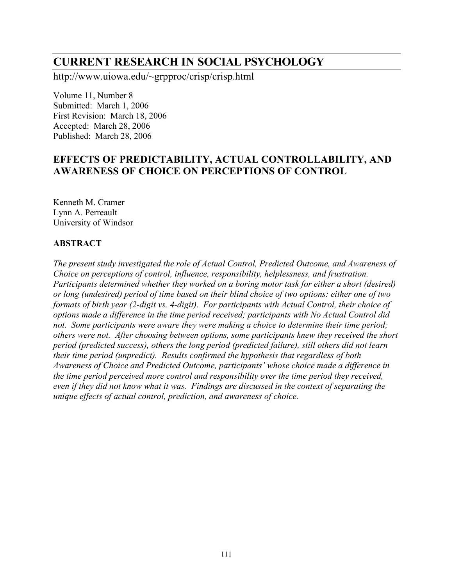# **CURRENT RESEARCH IN SOCIAL PSYCHOLOGY**

http://www.uiowa.edu/~grpproc/crisp/crisp.html

Volume 11, Number 8 Submitted: March 1, 2006 First Revision: March 18, 2006 Accepted: March 28, 2006 Published: March 28, 2006

# **EFFECTS OF PREDICTABILITY, ACTUAL CONTROLLABILITY, AND AWARENESS OF CHOICE ON PERCEPTIONS OF CONTROL**

Kenneth M. Cramer Lynn A. Perreault University of Windsor

## **ABSTRACT**

*The present study investigated the role of Actual Control, Predicted Outcome, and Awareness of Choice on perceptions of control, influence, responsibility, helplessness, and frustration. Participants determined whether they worked on a boring motor task for either a short (desired) or long (undesired) period of time based on their blind choice of two options: either one of two formats of birth year (2-digit vs. 4-digit). For participants with Actual Control, their choice of options made a difference in the time period received; participants with No Actual Control did not. Some participants were aware they were making a choice to determine their time period; others were not. After choosing between options, some participants knew they received the short period (predicted success), others the long period (predicted failure), still others did not learn their time period (unpredict). Results confirmed the hypothesis that regardless of both Awareness of Choice and Predicted Outcome, participants' whose choice made a difference in the time period perceived more control and responsibility over the time period they received, even if they did not know what it was. Findings are discussed in the context of separating the unique effects of actual control, prediction, and awareness of choice.*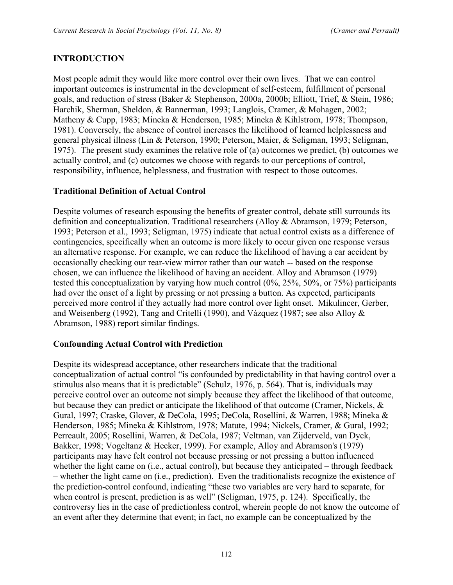# **INTRODUCTION**

Most people admit they would like more control over their own lives. That we can control important outcomes is instrumental in the development of self-esteem, fulfillment of personal goals, and reduction of stress (Baker & Stephenson, 2000a, 2000b; Elliott, Trief, & Stein, 1986; Harchik, Sherman, Sheldon, & Bannerman, 1993; Langlois, Cramer, & Mohagen, 2002; Matheny & Cupp, 1983; Mineka & Henderson, 1985; Mineka & Kihlstrom, 1978; Thompson, 1981). Conversely, the absence of control increases the likelihood of learned helplessness and general physical illness (Lin & Peterson, 1990; Peterson, Maier, & Seligman, 1993; Seligman, 1975). The present study examines the relative role of (a) outcomes we predict, (b) outcomes we actually control, and (c) outcomes we choose with regards to our perceptions of control, responsibility, influence, helplessness, and frustration with respect to those outcomes.

## **Traditional Definition of Actual Control**

Despite volumes of research espousing the benefits of greater control, debate still surrounds its definition and conceptualization. Traditional researchers (Alloy & Abramson, 1979; Peterson, 1993; Peterson et al., 1993; Seligman, 1975) indicate that actual control exists as a difference of contingencies, specifically when an outcome is more likely to occur given one response versus an alternative response. For example, we can reduce the likelihood of having a car accident by occasionally checking our rear-view mirror rather than our watch -- based on the response chosen, we can influence the likelihood of having an accident. Alloy and Abramson (1979) tested this conceptualization by varying how much control (0%, 25%, 50%, or 75%) participants had over the onset of a light by pressing or not pressing a button. As expected, participants perceived more control if they actually had more control over light onset. Mikulincer, Gerber, and Weisenberg (1992), Tang and Critelli (1990), and Vázquez (1987; see also Alloy & Abramson, 1988) report similar findings.

## **Confounding Actual Control with Prediction**

Despite its widespread acceptance, other researchers indicate that the traditional conceptualization of actual control "is confounded by predictability in that having control over a stimulus also means that it is predictable" (Schulz, 1976, p. 564). That is, individuals may perceive control over an outcome not simply because they affect the likelihood of that outcome, but because they can predict or anticipate the likelihood of that outcome (Cramer, Nickels, & Gural, 1997; Craske, Glover, & DeCola, 1995; DeCola, Rosellini, & Warren, 1988; Mineka & Henderson, 1985; Mineka & Kihlstrom, 1978; Matute, 1994; Nickels, Cramer, & Gural, 1992; Perreault, 2005; Rosellini, Warren, & DeCola, 1987; Veltman, van Zijderveld, van Dyck, Bakker, 1998; Vogeltanz & Hecker, 1999). For example, Alloy and Abramson's (1979) participants may have felt control not because pressing or not pressing a button influenced whether the light came on (i.e., actual control), but because they anticipated – through feedback – whether the light came on (i.e., prediction). Even the traditionalists recognize the existence of the prediction-control confound, indicating "these two variables are very hard to separate, for when control is present, prediction is as well" (Seligman, 1975, p. 124). Specifically, the controversy lies in the case of predictionless control, wherein people do not know the outcome of an event after they determine that event; in fact, no example can be conceptualized by the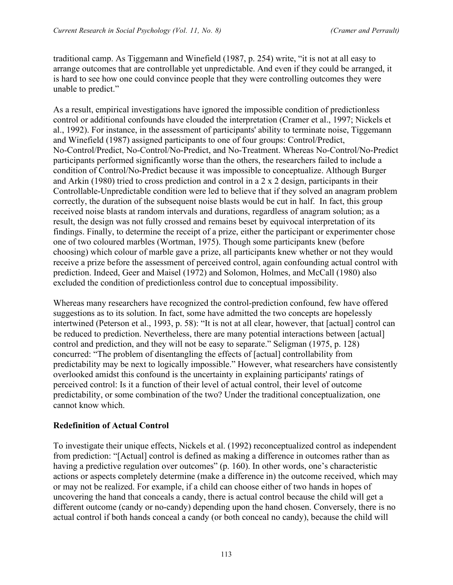traditional camp. As Tiggemann and Winefield (1987, p. 254) write, "it is not at all easy to arrange outcomes that are controllable yet unpredictable. And even if they could be arranged, it is hard to see how one could convince people that they were controlling outcomes they were unable to predict."

As a result, empirical investigations have ignored the impossible condition of predictionless control or additional confounds have clouded the interpretation (Cramer et al., 1997; Nickels et al., 1992). For instance, in the assessment of participants' ability to terminate noise, Tiggemann and Winefield (1987) assigned participants to one of four groups: Control/Predict, No-Control/Predict, No-Control/No-Predict, and No-Treatment. Whereas No-Control/No-Predict participants performed significantly worse than the others, the researchers failed to include a condition of Control/No-Predict because it was impossible to conceptualize. Although Burger and Arkin (1980) tried to cross prediction and control in a  $2 \times 2$  design, participants in their Controllable-Unpredictable condition were led to believe that if they solved an anagram problem correctly, the duration of the subsequent noise blasts would be cut in half. In fact, this group received noise blasts at random intervals and durations, regardless of anagram solution; as a result, the design was not fully crossed and remains beset by equivocal interpretation of its findings. Finally, to determine the receipt of a prize, either the participant or experimenter chose one of two coloured marbles (Wortman, 1975). Though some participants knew (before choosing) which colour of marble gave a prize, all participants knew whether or not they would receive a prize before the assessment of perceived control, again confounding actual control with prediction. Indeed, Geer and Maisel (1972) and Solomon, Holmes, and McCall (1980) also excluded the condition of predictionless control due to conceptual impossibility.

Whereas many researchers have recognized the control-prediction confound, few have offered suggestions as to its solution. In fact, some have admitted the two concepts are hopelessly intertwined (Peterson et al., 1993, p. 58): "It is not at all clear, however, that [actual] control can be reduced to prediction. Nevertheless, there are many potential interactions between [actual] control and prediction, and they will not be easy to separate." Seligman (1975, p. 128) concurred: "The problem of disentangling the effects of [actual] controllability from predictability may be next to logically impossible." However, what researchers have consistently overlooked amidst this confound is the uncertainty in explaining participants' ratings of perceived control: Is it a function of their level of actual control, their level of outcome predictability, or some combination of the two? Under the traditional conceptualization, one cannot know which.

# **Redefinition of Actual Control**

To investigate their unique effects, Nickels et al. (1992) reconceptualized control as independent from prediction: "[Actual] control is defined as making a difference in outcomes rather than as having a predictive regulation over outcomes" (p. 160). In other words, one's characteristic actions or aspects completely determine (make a difference in) the outcome received, which may or may not be realized. For example, if a child can choose either of two hands in hopes of uncovering the hand that conceals a candy, there is actual control because the child will get a different outcome (candy or no-candy) depending upon the hand chosen. Conversely, there is no actual control if both hands conceal a candy (or both conceal no candy), because the child will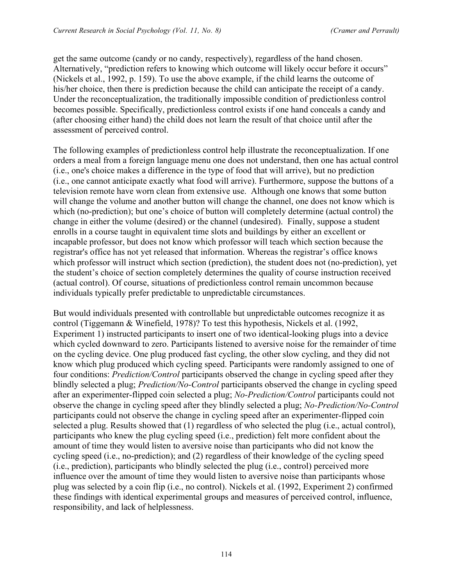get the same outcome (candy or no candy, respectively), regardless of the hand chosen. Alternatively, "prediction refers to knowing which outcome will likely occur before it occurs" (Nickels et al., 1992, p. 159). To use the above example, if the child learns the outcome of his/her choice, then there is prediction because the child can anticipate the receipt of a candy. Under the reconceptualization, the traditionally impossible condition of predictionless control becomes possible. Specifically, predictionless control exists if one hand conceals a candy and (after choosing either hand) the child does not learn the result of that choice until after the assessment of perceived control.

The following examples of predictionless control help illustrate the reconceptualization. If one orders a meal from a foreign language menu one does not understand, then one has actual control (i.e., one's choice makes a difference in the type of food that will arrive), but no prediction (i.e., one cannot anticipate exactly what food will arrive). Furthermore, suppose the buttons of a television remote have worn clean from extensive use. Although one knows that some button will change the volume and another button will change the channel, one does not know which is which (no-prediction); but one's choice of button will completely determine (actual control) the change in either the volume (desired) or the channel (undesired). Finally, suppose a student enrolls in a course taught in equivalent time slots and buildings by either an excellent or incapable professor, but does not know which professor will teach which section because the registrar's office has not yet released that information. Whereas the registrar's office knows which professor will instruct which section (prediction), the student does not (no-prediction), yet the student's choice of section completely determines the quality of course instruction received (actual control). Of course, situations of predictionless control remain uncommon because individuals typically prefer predictable to unpredictable circumstances.

But would individuals presented with controllable but unpredictable outcomes recognize it as control (Tiggemann & Winefield, 1978)? To test this hypothesis, Nickels et al. (1992, Experiment 1) instructed participants to insert one of two identical-looking plugs into a device which cycled downward to zero. Participants listened to aversive noise for the remainder of time on the cycling device. One plug produced fast cycling, the other slow cycling, and they did not know which plug produced which cycling speed. Participants were randomly assigned to one of four conditions: *Prediction/Control* participants observed the change in cycling speed after they blindly selected a plug; *Prediction/No-Control* participants observed the change in cycling speed after an experimenter-flipped coin selected a plug; *No-Prediction/Control* participants could not observe the change in cycling speed after they blindly selected a plug; *No-Prediction/No-Control* participants could not observe the change in cycling speed after an experimenter-flipped coin selected a plug. Results showed that (1) regardless of who selected the plug (i.e., actual control), participants who knew the plug cycling speed (i.e., prediction) felt more confident about the amount of time they would listen to aversive noise than participants who did not know the cycling speed (i.e., no-prediction); and (2) regardless of their knowledge of the cycling speed (i.e., prediction), participants who blindly selected the plug (i.e., control) perceived more influence over the amount of time they would listen to aversive noise than participants whose plug was selected by a coin flip (i.e., no control). Nickels et al. (1992, Experiment 2) confirmed these findings with identical experimental groups and measures of perceived control, influence, responsibility, and lack of helplessness.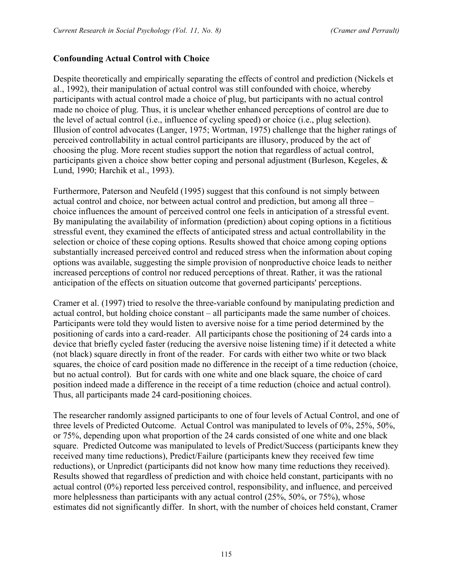## **Confounding Actual Control with Choice**

Despite theoretically and empirically separating the effects of control and prediction (Nickels et al., 1992), their manipulation of actual control was still confounded with choice, whereby participants with actual control made a choice of plug, but participants with no actual control made no choice of plug. Thus, it is unclear whether enhanced perceptions of control are due to the level of actual control (i.e., influence of cycling speed) or choice (i.e., plug selection). Illusion of control advocates (Langer, 1975; Wortman, 1975) challenge that the higher ratings of perceived controllability in actual control participants are illusory, produced by the act of choosing the plug. More recent studies support the notion that regardless of actual control, participants given a choice show better coping and personal adjustment (Burleson, Kegeles, & Lund, 1990; Harchik et al., 1993).

Furthermore, Paterson and Neufeld (1995) suggest that this confound is not simply between actual control and choice, nor between actual control and prediction, but among all three – choice influences the amount of perceived control one feels in anticipation of a stressful event. By manipulating the availability of information (prediction) about coping options in a fictitious stressful event, they examined the effects of anticipated stress and actual controllability in the selection or choice of these coping options. Results showed that choice among coping options substantially increased perceived control and reduced stress when the information about coping options was available, suggesting the simple provision of nonproductive choice leads to neither increased perceptions of control nor reduced perceptions of threat. Rather, it was the rational anticipation of the effects on situation outcome that governed participants' perceptions.

Cramer et al. (1997) tried to resolve the three-variable confound by manipulating prediction and actual control, but holding choice constant – all participants made the same number of choices. Participants were told they would listen to aversive noise for a time period determined by the positioning of cards into a card-reader. All participants chose the positioning of 24 cards into a device that briefly cycled faster (reducing the aversive noise listening time) if it detected a white (not black) square directly in front of the reader. For cards with either two white or two black squares, the choice of card position made no difference in the receipt of a time reduction (choice, but no actual control). But for cards with one white and one black square, the choice of card position indeed made a difference in the receipt of a time reduction (choice and actual control). Thus, all participants made 24 card-positioning choices.

The researcher randomly assigned participants to one of four levels of Actual Control, and one of three levels of Predicted Outcome. Actual Control was manipulated to levels of 0%, 25%, 50%, or 75%, depending upon what proportion of the 24 cards consisted of one white and one black square. Predicted Outcome was manipulated to levels of Predict/Success (participants knew they received many time reductions), Predict/Failure (participants knew they received few time reductions), or Unpredict (participants did not know how many time reductions they received). Results showed that regardless of prediction and with choice held constant, participants with no actual control (0%) reported less perceived control, responsibility, and influence, and perceived more helplessness than participants with any actual control  $(25\% \cdot 50\% \cdot \text{or } 75\%)$ , whose estimates did not significantly differ. In short, with the number of choices held constant, Cramer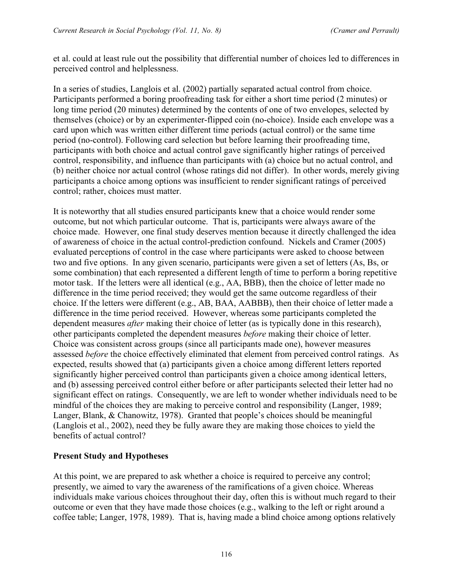et al. could at least rule out the possibility that differential number of choices led to differences in perceived control and helplessness.

In a series of studies, Langlois et al. (2002) partially separated actual control from choice. Participants performed a boring proofreading task for either a short time period (2 minutes) or long time period (20 minutes) determined by the contents of one of two envelopes, selected by themselves (choice) or by an experimenter-flipped coin (no-choice). Inside each envelope was a card upon which was written either different time periods (actual control) or the same time period (no-control). Following card selection but before learning their proofreading time, participants with both choice and actual control gave significantly higher ratings of perceived control, responsibility, and influence than participants with (a) choice but no actual control, and (b) neither choice nor actual control (whose ratings did not differ). In other words, merely giving participants a choice among options was insufficient to render significant ratings of perceived control; rather, choices must matter.

It is noteworthy that all studies ensured participants knew that a choice would render some outcome, but not which particular outcome. That is, participants were always aware of the choice made. However, one final study deserves mention because it directly challenged the idea of awareness of choice in the actual control-prediction confound. Nickels and Cramer (2005) evaluated perceptions of control in the case where participants were asked to choose between two and five options. In any given scenario, participants were given a set of letters (As, Bs, or some combination) that each represented a different length of time to perform a boring repetitive motor task. If the letters were all identical (e.g., AA, BBB), then the choice of letter made no difference in the time period received; they would get the same outcome regardless of their choice. If the letters were different (e.g., AB, BAA, AABBB), then their choice of letter made a difference in the time period received. However, whereas some participants completed the dependent measures *after* making their choice of letter (as is typically done in this research), other participants completed the dependent measures *before* making their choice of letter. Choice was consistent across groups (since all participants made one), however measures assessed *before* the choice effectively eliminated that element from perceived control ratings. As expected, results showed that (a) participants given a choice among different letters reported significantly higher perceived control than participants given a choice among identical letters, and (b) assessing perceived control either before or after participants selected their letter had no significant effect on ratings. Consequently, we are left to wonder whether individuals need to be mindful of the choices they are making to perceive control and responsibility (Langer, 1989; Langer, Blank, & Chanowitz, 1978). Granted that people's choices should be meaningful (Langlois et al., 2002), need they be fully aware they are making those choices to yield the benefits of actual control?

## **Present Study and Hypotheses**

At this point, we are prepared to ask whether a choice is required to perceive any control; presently, we aimed to vary the awareness of the ramifications of a given choice. Whereas individuals make various choices throughout their day, often this is without much regard to their outcome or even that they have made those choices (e.g., walking to the left or right around a coffee table; Langer, 1978, 1989). That is, having made a blind choice among options relatively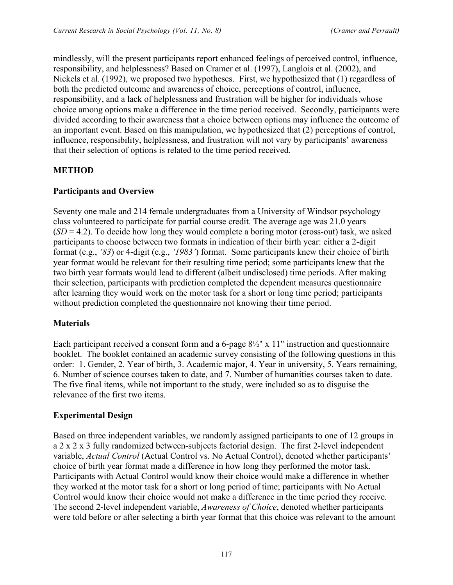mindlessly, will the present participants report enhanced feelings of perceived control, influence, responsibility, and helplessness? Based on Cramer et al. (1997), Langlois et al. (2002), and Nickels et al. (1992), we proposed two hypotheses. First, we hypothesized that (1) regardless of both the predicted outcome and awareness of choice, perceptions of control, influence, responsibility, and a lack of helplessness and frustration will be higher for individuals whose choice among options make a difference in the time period received. Secondly, participants were divided according to their awareness that a choice between options may influence the outcome of an important event. Based on this manipulation, we hypothesized that (2) perceptions of control, influence, responsibility, helplessness, and frustration will not vary by participants' awareness that their selection of options is related to the time period received.

## **METHOD**

## **Participants and Overview**

Seventy one male and 214 female undergraduates from a University of Windsor psychology class volunteered to participate for partial course credit. The average age was 21.0 years  $(SD = 4.2)$ . To decide how long they would complete a boring motor (cross-out) task, we asked participants to choose between two formats in indication of their birth year: either a 2-digit format (e.g., *'83*) or 4-digit (e.g., *'1983'*) format. Some participants knew their choice of birth year format would be relevant for their resulting time period; some participants knew that the two birth year formats would lead to different (albeit undisclosed) time periods. After making their selection, participants with prediction completed the dependent measures questionnaire after learning they would work on the motor task for a short or long time period; participants without prediction completed the questionnaire not knowing their time period.

## **Materials**

Each participant received a consent form and a 6-page  $8\frac{1}{2}$ " x 11" instruction and questionnaire booklet. The booklet contained an academic survey consisting of the following questions in this order: 1. Gender, 2. Year of birth, 3. Academic major, 4. Year in university, 5. Years remaining, 6. Number of science courses taken to date, and 7. Number of humanities courses taken to date. The five final items, while not important to the study, were included so as to disguise the relevance of the first two items.

# **Experimental Design**

Based on three independent variables, we randomly assigned participants to one of 12 groups in a 2 x 2 x 3 fully randomized between-subjects factorial design. The first 2-level independent variable, *Actual Control* (Actual Control vs. No Actual Control), denoted whether participants' choice of birth year format made a difference in how long they performed the motor task. Participants with Actual Control would know their choice would make a difference in whether they worked at the motor task for a short or long period of time; participants with No Actual Control would know their choice would not make a difference in the time period they receive. The second 2-level independent variable, *Awareness of Choice*, denoted whether participants were told before or after selecting a birth year format that this choice was relevant to the amount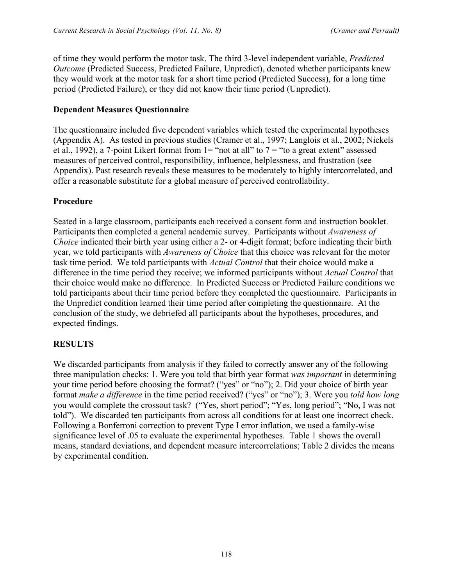of time they would perform the motor task. The third 3-level independent variable, *Predicted Outcome* (Predicted Success, Predicted Failure, Unpredict), denoted whether participants knew they would work at the motor task for a short time period (Predicted Success), for a long time period (Predicted Failure), or they did not know their time period (Unpredict).

## **Dependent Measures Questionnaire**

The questionnaire included five dependent variables which tested the experimental hypotheses (Appendix A). As tested in previous studies (Cramer et al., 1997; Langlois et al., 2002; Nickels et al., 1992), a 7-point Likert format from  $1=$  "not at all" to  $7=$  "to a great extent" assessed measures of perceived control, responsibility, influence, helplessness, and frustration (see Appendix). Past research reveals these measures to be moderately to highly intercorrelated, and offer a reasonable substitute for a global measure of perceived controllability.

# **Procedure**

Seated in a large classroom, participants each received a consent form and instruction booklet. Participants then completed a general academic survey. Participants without *Awareness of Choice* indicated their birth year using either a 2- or 4-digit format; before indicating their birth year, we told participants with *Awareness of Choice* that this choice was relevant for the motor task time period. We told participants with *Actual Control* that their choice would make a difference in the time period they receive; we informed participants without *Actual Control* that their choice would make no difference. In Predicted Success or Predicted Failure conditions we told participants about their time period before they completed the questionnaire. Participants in the Unpredict condition learned their time period after completing the questionnaire. At the conclusion of the study, we debriefed all participants about the hypotheses, procedures, and expected findings.

## **RESULTS**

We discarded participants from analysis if they failed to correctly answer any of the following three manipulation checks: 1. Were you told that birth year format *was important* in determining your time period before choosing the format? ("yes" or "no"); 2. Did your choice of birth year format *make a difference* in the time period received? ("yes" or "no"); 3. Were you *told how long*  you would complete the crossout task? ("Yes, short period"; "Yes, long period"; "No, I was not told"). We discarded ten participants from across all conditions for at least one incorrect check. Following a Bonferroni correction to prevent Type I error inflation, we used a family-wise significance level of .05 to evaluate the experimental hypotheses. Table 1 shows the overall means, standard deviations, and dependent measure intercorrelations; Table 2 divides the means by experimental condition.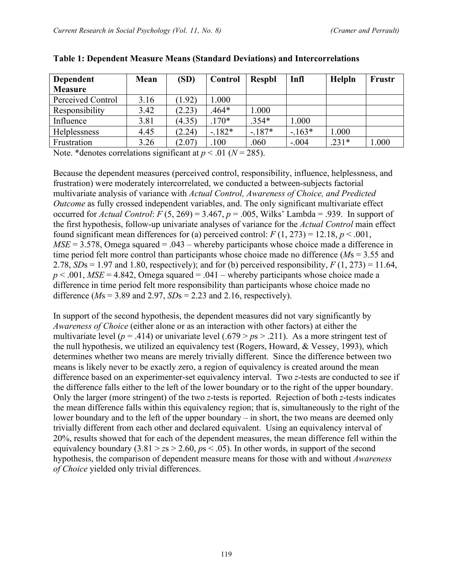| <b>Dependent</b>  | Mean | (SD)   | Control | <b>Respbl</b> | Infl    | Helpln  | Frustr |
|-------------------|------|--------|---------|---------------|---------|---------|--------|
| <b>Measure</b>    |      |        |         |               |         |         |        |
| Perceived Control | 3.16 | (1.92) | 1.000   |               |         |         |        |
| Responsibility    | 3.42 | (2.23) | $.464*$ | 1.000         |         |         |        |
| Influence         | 3.81 | (4.35) | $.170*$ | $.354*$       | 1.000   |         |        |
| Helplessness      | 4.45 | (2.24) | $-182*$ | $-187*$       | $-163*$ | 1.000   |        |
| Frustration       | 3.26 | (2.07) | .100    | .060          | $-.004$ | $.231*$ | 1.000  |

#### **Table 1: Dependent Measure Means (Standard Deviations) and Intercorrelations**

Note. \*denotes correlations significant at  $p < .01$  ( $N = 285$ ).

Because the dependent measures (perceived control, responsibility, influence, helplessness, and frustration) were moderately intercorrelated, we conducted a between-subjects factorial multivariate analysis of variance with *Actual Control, Awareness of Choice, and Predicted Outcome* as fully crossed independent variables, and. The only significant multivariate effect occurred for *Actual Control*:  $F(5, 269) = 3.467$ ,  $p = .005$ , Wilks' Lambda = .939. In support of the first hypothesis, follow-up univariate analyses of variance for the *Actual Control* main effect found significant mean differences for (a) perceived control:  $F(1, 273) = 12.18$ ,  $p < .001$ ,  $MSE = 3.578$ , Omega squared = .043 – whereby participants whose choice made a difference in time period felt more control than participants whose choice made no difference (*M*s = 3.55 and 2.78,  $SDs = 1.97$  and 1.80, respectively); and for (b) perceived responsibility,  $F(1, 273) = 11.64$ ,  $p < .001$ , *MSE* = 4.842, Omega squared = .041 – whereby participants whose choice made a difference in time period felt more responsibility than participants whose choice made no difference (*M*s = 3.89 and 2.97, *SD*s = 2.23 and 2.16, respectively).

In support of the second hypothesis, the dependent measures did not vary significantly by *Awareness of Choice* (either alone or as an interaction with other factors) at either the multivariate level ( $p = .414$ ) or univariate level (.679 >  $p s$  > .211). As a more stringent test of the null hypothesis, we utilized an equivalency test (Rogers, Howard, & Vessey, 1993), which determines whether two means are merely trivially different. Since the difference between two means is likely never to be exactly zero, a region of equivalency is created around the mean difference based on an experimenter-set equivalency interval. Two *z*-tests are conducted to see if the difference falls either to the left of the lower boundary or to the right of the upper boundary. Only the larger (more stringent) of the two *z*-tests is reported. Rejection of both *z*-tests indicates the mean difference falls within this equivalency region; that is, simultaneously to the right of the lower boundary and to the left of the upper boundary – in short, the two means are deemed only trivially different from each other and declared equivalent. Using an equivalency interval of 20%, results showed that for each of the dependent measures, the mean difference fell within the equivalency boundary  $(3.81 > z_s > 2.60, ps < .05)$ . In other words, in support of the second hypothesis, the comparison of dependent measure means for those with and without *Awareness of Choice* yielded only trivial differences.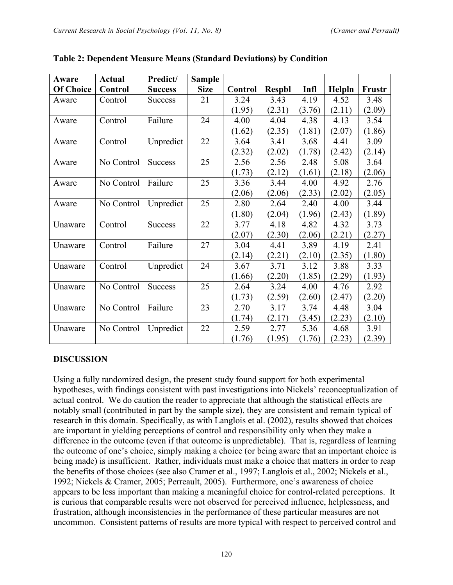| Aware            | <b>Actual</b> | Predict/       | <b>Sample</b> |         |               |        |        |               |
|------------------|---------------|----------------|---------------|---------|---------------|--------|--------|---------------|
| <b>Of Choice</b> | Control       | <b>Success</b> | <b>Size</b>   | Control | <b>Respbl</b> | Infl   | Helpln | <b>Frustr</b> |
| Aware            | Control       | <b>Success</b> | 21            | 3.24    | 3.43          | 4.19   | 4.52   | 3.48          |
|                  |               |                |               | (1.95)  | (2.31)        | (3.76) | (2.11) | (2.09)        |
| Aware            | Control       | Failure        | 24            | 4.00    | 4.04          | 4.38   | 4.13   | 3.54          |
|                  |               |                |               | (1.62)  | (2.35)        | (1.81) | (2.07) | (1.86)        |
| Aware            | Control       | Unpredict      | 22            | 3.64    | 3.41          | 3.68   | 4.41   | 3.09          |
|                  |               |                |               | (2.32)  | (2.02)        | (1.78) | (2.42) | (2.14)        |
| Aware            | No Control    | <b>Success</b> | 25            | 2.56    | 2.56          | 2.48   | 5.08   | 3.64          |
|                  |               |                |               | (1.73)  | (2.12)        | (1.61) | (2.18) | (2.06)        |
| Aware            | No Control    | Failure        | 25            | 3.36    | 3.44          | 4.00   | 4.92   | 2.76          |
|                  |               |                |               | (2.06)  | (2.06)        | (2.33) | (2.02) | (2.05)        |
| Aware            | No Control    | Unpredict      | 25            | 2.80    | 2.64          | 2.40   | 4.00   | 3.44          |
|                  |               |                |               | (1.80)  | (2.04)        | (1.96) | (2.43) | (1.89)        |
| Unaware          | Control       | <b>Success</b> | 22            | 3.77    | 4.18          | 4.82   | 4.32   | 3.73          |
|                  |               |                |               | (2.07)  | (2.30)        | (2.06) | (2.21) | (2.27)        |
| Unaware          | Control       | Failure        | 27            | 3.04    | 4.41          | 3.89   | 4.19   | 2.41          |
|                  |               |                |               | (2.14)  | (2.21)        | (2.10) | (2.35) | (1.80)        |
| Unaware          | Control       | Unpredict      | 24            | 3.67    | 3.71          | 3.12   | 3.88   | 3.33          |
|                  |               |                |               | (1.66)  | (2.20)        | (1.85) | (2.29) | (1.93)        |
| Unaware          | No Control    | <b>Success</b> | 25            | 2.64    | 3.24          | 4.00   | 4.76   | 2.92          |
|                  |               |                |               | (1.73)  | (2.59)        | (2.60) | (2.47) | (2.20)        |
| Unaware          | No Control    | Failure        | 23            | 2.70    | 3.17          | 3.74   | 4.48   | 3.04          |
|                  |               |                |               | (1.74)  | (2.17)        | (3.45) | (2.23) | (2.10)        |
| Unaware          | No Control    | Unpredict      | 22            | 2.59    | 2.77          | 5.36   | 4.68   | 3.91          |
|                  |               |                |               | (1.76)  | (1.95)        | (1.76) | (2.23) | (2.39)        |

| Table 2: Dependent Measure Means (Standard Deviations) by Condition |  |  |
|---------------------------------------------------------------------|--|--|
|                                                                     |  |  |

## **DISCUSSION**

Using a fully randomized design, the present study found support for both experimental hypotheses, with findings consistent with past investigations into Nickels' reconceptualization of actual control. We do caution the reader to appreciate that although the statistical effects are notably small (contributed in part by the sample size), they are consistent and remain typical of research in this domain. Specifically, as with Langlois et al. (2002), results showed that choices are important in yielding perceptions of control and responsibility only when they make a difference in the outcome (even if that outcome is unpredictable). That is, regardless of learning the outcome of one's choice, simply making a choice (or being aware that an important choice is being made) is insufficient. Rather, individuals must make a choice that matters in order to reap the benefits of those choices (see also Cramer et al., 1997; Langlois et al., 2002; Nickels et al., 1992; Nickels & Cramer, 2005; Perreault, 2005). Furthermore, one's awareness of choice appears to be less important than making a meaningful choice for control-related perceptions. It is curious that comparable results were not observed for perceived influence, helplessness, and frustration, although inconsistencies in the performance of these particular measures are not uncommon. Consistent patterns of results are more typical with respect to perceived control and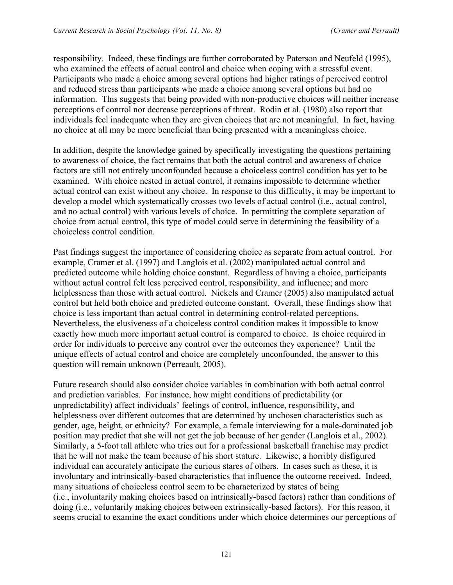responsibility. Indeed, these findings are further corroborated by Paterson and Neufeld (1995), who examined the effects of actual control and choice when coping with a stressful event. Participants who made a choice among several options had higher ratings of perceived control and reduced stress than participants who made a choice among several options but had no information. This suggests that being provided with non-productive choices will neither increase perceptions of control nor decrease perceptions of threat. Rodin et al. (1980) also report that individuals feel inadequate when they are given choices that are not meaningful. In fact, having no choice at all may be more beneficial than being presented with a meaningless choice.

In addition, despite the knowledge gained by specifically investigating the questions pertaining to awareness of choice, the fact remains that both the actual control and awareness of choice factors are still not entirely unconfounded because a choiceless control condition has yet to be examined. With choice nested in actual control, it remains impossible to determine whether actual control can exist without any choice. In response to this difficulty, it may be important to develop a model which systematically crosses two levels of actual control (i.e., actual control, and no actual control) with various levels of choice. In permitting the complete separation of choice from actual control, this type of model could serve in determining the feasibility of a choiceless control condition.

Past findings suggest the importance of considering choice as separate from actual control. For example, Cramer et al. (1997) and Langlois et al. (2002) manipulated actual control and predicted outcome while holding choice constant. Regardless of having a choice, participants without actual control felt less perceived control, responsibility, and influence; and more helplessness than those with actual control. Nickels and Cramer (2005) also manipulated actual control but held both choice and predicted outcome constant. Overall, these findings show that choice is less important than actual control in determining control-related perceptions. Nevertheless, the elusiveness of a choiceless control condition makes it impossible to know exactly how much more important actual control is compared to choice. Is choice required in order for individuals to perceive any control over the outcomes they experience? Until the unique effects of actual control and choice are completely unconfounded, the answer to this question will remain unknown (Perreault, 2005).

Future research should also consider choice variables in combination with both actual control and prediction variables. For instance, how might conditions of predictability (or unpredictability) affect individuals' feelings of control, influence, responsibility, and helplessness over different outcomes that are determined by unchosen characteristics such as gender, age, height, or ethnicity? For example, a female interviewing for a male-dominated job position may predict that she will not get the job because of her gender (Langlois et al., 2002). Similarly, a 5-foot tall athlete who tries out for a professional basketball franchise may predict that he will not make the team because of his short stature. Likewise, a horribly disfigured individual can accurately anticipate the curious stares of others. In cases such as these, it is involuntary and intrinsically-based characteristics that influence the outcome received. Indeed, many situations of choiceless control seem to be characterized by states of being (i.e., involuntarily making choices based on intrinsically-based factors) rather than conditions of doing (i.e., voluntarily making choices between extrinsically-based factors). For this reason, it seems crucial to examine the exact conditions under which choice determines our perceptions of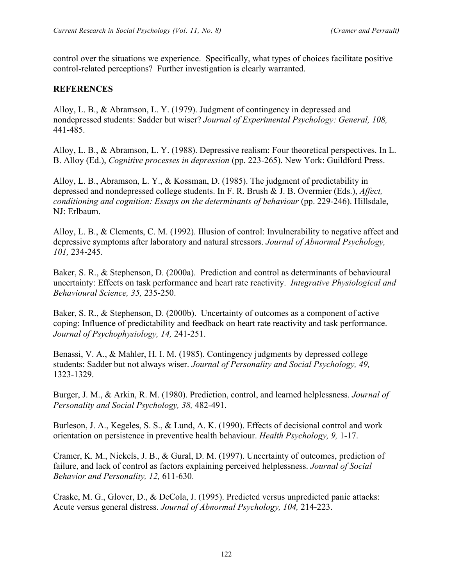control over the situations we experience. Specifically, what types of choices facilitate positive control-related perceptions? Further investigation is clearly warranted.

## **REFERENCES**

Alloy, L. B., & Abramson, L. Y. (1979). Judgment of contingency in depressed and nondepressed students: Sadder but wiser? *Journal of Experimental Psychology: General, 108,* 441-485.

Alloy, L. B., & Abramson, L. Y. (1988). Depressive realism: Four theoretical perspectives. In L. B. Alloy (Ed.), *Cognitive processes in depression* (pp. 223-265). New York: Guildford Press.

Alloy, L. B., Abramson, L. Y., & Kossman, D. (1985). The judgment of predictability in depressed and nondepressed college students. In F. R. Brush & J. B. Overmier (Eds.), *Affect, conditioning and cognition: Essays on the determinants of behaviour* (pp. 229-246). Hillsdale, NJ: Erlbaum.

Alloy, L. B., & Clements, C. M. (1992). Illusion of control: Invulnerability to negative affect and depressive symptoms after laboratory and natural stressors. *Journal of Abnormal Psychology, 101,* 234-245.

Baker, S. R., & Stephenson, D. (2000a). Prediction and control as determinants of behavioural uncertainty: Effects on task performance and heart rate reactivity. *Integrative Physiological and Behavioural Science, 35,* 235-250.

Baker, S. R., & Stephenson, D. (2000b). Uncertainty of outcomes as a component of active coping: Influence of predictability and feedback on heart rate reactivity and task performance. *Journal of Psychophysiology, 14,* 241-251.

Benassi, V. A., & Mahler, H. I. M. (1985). Contingency judgments by depressed college students: Sadder but not always wiser. *Journal of Personality and Social Psychology, 49,*  1323-1329.

Burger, J. M., & Arkin, R. M. (1980). Prediction, control, and learned helplessness. *Journal of Personality and Social Psychology, 38,* 482-491.

Burleson, J. A., Kegeles, S. S., & Lund, A. K. (1990). Effects of decisional control and work orientation on persistence in preventive health behaviour. *Health Psychology, 9,* 1-17.

Cramer, K. M., Nickels, J. B., & Gural, D. M. (1997). Uncertainty of outcomes, prediction of failure, and lack of control as factors explaining perceived helplessness. *Journal of Social Behavior and Personality, 12,* 611-630.

Craske, M. G., Glover, D., & DeCola, J. (1995). Predicted versus unpredicted panic attacks: Acute versus general distress. *Journal of Abnormal Psychology, 104,* 214-223.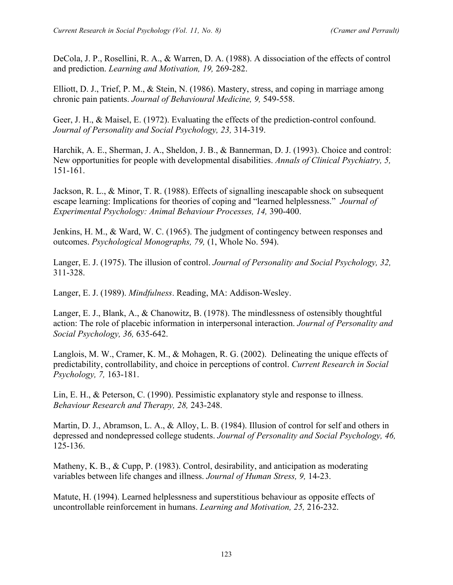DeCola, J. P., Rosellini, R. A., & Warren, D. A. (1988). A dissociation of the effects of control and prediction. *Learning and Motivation, 19,* 269-282.

Elliott, D. J., Trief, P. M., & Stein, N. (1986). Mastery, stress, and coping in marriage among chronic pain patients. *Journal of Behavioural Medicine, 9,* 549-558.

Geer, J. H., & Maisel, E. (1972). Evaluating the effects of the prediction-control confound. *Journal of Personality and Social Psychology, 23,* 314-319.

Harchik, A. E., Sherman, J. A., Sheldon, J. B., & Bannerman, D. J. (1993). Choice and control: New opportunities for people with developmental disabilities. *Annals of Clinical Psychiatry, 5,*  151-161.

Jackson, R. L., & Minor, T. R. (1988). Effects of signalling inescapable shock on subsequent escape learning: Implications for theories of coping and "learned helplessness." *Journal of Experimental Psychology: Animal Behaviour Processes, 14,* 390-400.

Jenkins, H. M., & Ward, W. C. (1965). The judgment of contingency between responses and outcomes. *Psychological Monographs, 79,* (1, Whole No. 594).

Langer, E. J. (1975). The illusion of control. *Journal of Personality and Social Psychology, 32,*  311-328.

Langer, E. J. (1989). *Mindfulness*. Reading, MA: Addison-Wesley.

Langer, E. J., Blank, A., & Chanowitz, B. (1978). The mindlessness of ostensibly thoughtful action: The role of placebic information in interpersonal interaction. *Journal of Personality and Social Psychology, 36,* 635-642.

Langlois, M. W., Cramer, K. M., & Mohagen, R. G. (2002). Delineating the unique effects of predictability, controllability, and choice in perceptions of control. *Current Research in Social Psychology, 7,* 163-181.

Lin, E. H., & Peterson, C. (1990). Pessimistic explanatory style and response to illness. *Behaviour Research and Therapy, 28,* 243-248.

Martin, D. J., Abramson, L. A., & Alloy, L. B. (1984). Illusion of control for self and others in depressed and nondepressed college students. *Journal of Personality and Social Psychology, 46,*  125-136.

Matheny, K. B., & Cupp, P. (1983). Control, desirability, and anticipation as moderating variables between life changes and illness. *Journal of Human Stress, 9,* 14-23.

Matute, H. (1994). Learned helplessness and superstitious behaviour as opposite effects of uncontrollable reinforcement in humans. *Learning and Motivation, 25,* 216-232.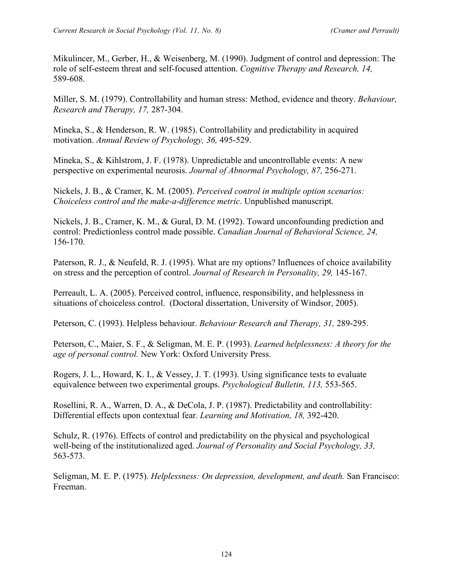Mikulincer, M., Gerber, H., & Weisenberg, M. (1990). Judgment of control and depression: The role of self-esteem threat and self-focused attention. *Cognitive Therapy and Research, 14,*  589-608.

Miller, S. M. (1979). Controllability and human stress: Method, evidence and theory. *Behaviour, Research and Therapy, 17,* 287-304.

Mineka, S., & Henderson, R. W. (1985). Controllability and predictability in acquired motivation. *Annual Review of Psychology, 36,* 495-529.

Mineka, S., & Kihlstrom, J. F. (1978). Unpredictable and uncontrollable events: A new perspective on experimental neurosis. *Journal of Abnormal Psychology, 87,* 256-271.

Nickels, J. B., & Cramer, K. M. (2005). *Perceived control in multiple option scenarios: Choiceless control and the make-a-difference metric*. Unpublished manuscript.

Nickels, J. B., Cramer, K. M., & Gural, D. M. (1992). Toward unconfounding prediction and control: Predictionless control made possible. *Canadian Journal of Behavioral Science, 24,*  156-170.

Paterson, R. J., & Neufeld, R. J. (1995). What are my options? Influences of choice availability on stress and the perception of control. *Journal of Research in Personality, 29,* 145-167.

Perreault, L. A. (2005). Perceived control, influence, responsibility, and helplessness in situations of choiceless control. (Doctoral dissertation, University of Windsor, 2005).

Peterson, C. (1993). Helpless behaviour. *Behaviour Research and Therapy, 31,* 289-295.

Peterson, C., Maier, S. F., & Seligman, M. E. P. (1993). *Learned helplessness: A theory for the age of personal control.* New York: Oxford University Press.

Rogers, J. L., Howard, K. I., & Vessey, J. T. (1993). Using significance tests to evaluate equivalence between two experimental groups. *Psychological Bulletin, 113,* 553-565.

Rosellini, R. A., Warren, D. A., & DeCola, J. P. (1987). Predictability and controllability: Differential effects upon contextual fear. *Learning and Motivation, 18,* 392-420.

Schulz, R. (1976). Effects of control and predictability on the physical and psychological well-being of the institutionalized aged. *Journal of Personality and Social Psychology, 33,*  563-573.

Seligman, M. E. P. (1975). *Helplessness: On depression, development, and death.* San Francisco: Freeman.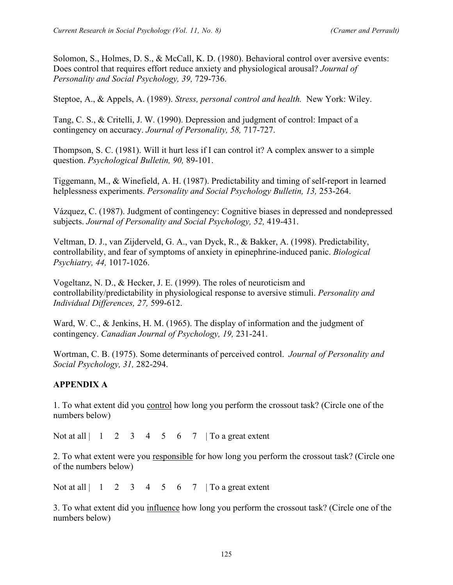Solomon, S., Holmes, D. S., & McCall, K. D. (1980). Behavioral control over aversive events: Does control that requires effort reduce anxiety and physiological arousal? *Journal of Personality and Social Psychology, 39,* 729-736.

Steptoe, A., & Appels, A. (1989). *Stress, personal control and health.* New York: Wiley.

Tang, C. S., & Critelli, J. W. (1990). Depression and judgment of control: Impact of a contingency on accuracy. *Journal of Personality, 58,* 717-727.

Thompson, S. C. (1981). Will it hurt less if I can control it? A complex answer to a simple question. *Psychological Bulletin, 90,* 89-101.

Tiggemann, M., & Winefield, A. H. (1987). Predictability and timing of self-report in learned helplessness experiments. *Personality and Social Psychology Bulletin, 13,* 253-264.

Vázquez, C. (1987). Judgment of contingency: Cognitive biases in depressed and nondepressed subjects. *Journal of Personality and Social Psychology, 52,* 419-431.

Veltman, D. J., van Zijderveld, G. A., van Dyck, R., & Bakker, A. (1998). Predictability, controllability, and fear of symptoms of anxiety in epinephrine-induced panic. *Biological Psychiatry, 44,* 1017-1026.

Vogeltanz, N. D., & Hecker, J. E. (1999). The roles of neuroticism and controllability/predictability in physiological response to aversive stimuli. *Personality and Individual Differences, 27,* 599-612.

Ward, W. C., & Jenkins, H. M. (1965). The display of information and the judgment of contingency. *Canadian Journal of Psychology, 19,* 231-241.

Wortman, C. B. (1975). Some determinants of perceived control. *Journal of Personality and Social Psychology, 31,* 282-294.

## **APPENDIX A**

1. To what extent did you control how long you perform the crossout task? (Circle one of the numbers below)

Not at all  $\begin{array}{cccc} 1 & 2 & 3 & 4 & 5 & 6 & 7 & \end{array}$  To a great extent

2. To what extent were you responsible for how long you perform the crossout task? (Circle one of the numbers below)

Not at all  $\begin{vmatrix} 1 & 2 & 3 & 4 & 5 & 6 & 7 \end{vmatrix}$  To a great extent

3. To what extent did you influence how long you perform the crossout task? (Circle one of the numbers below)